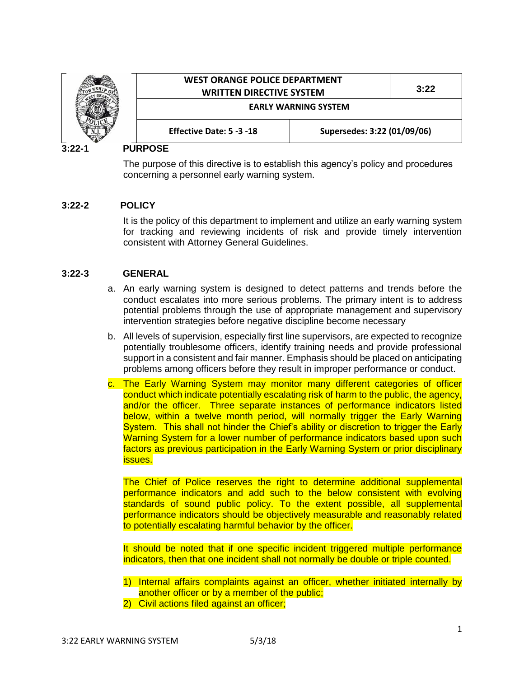

## **3:22-1 PURPOSE**

The purpose of this directive is to establish this agency's policy and procedures concerning a personnel early warning system.

## **3:22-2 POLICY**

It is the policy of this department to implement and utilize an early warning system for tracking and reviewing incidents of risk and provide timely intervention consistent with Attorney General Guidelines.

## **3:22-3 GENERAL**

- a. An early warning system is designed to detect patterns and trends before the conduct escalates into more serious problems. The primary intent is to address potential problems through the use of appropriate management and supervisory intervention strategies before negative discipline become necessary
- b. All levels of supervision, especially first line supervisors, are expected to recognize potentially troublesome officers, identify training needs and provide professional support in a consistent and fair manner. Emphasis should be placed on anticipating problems among officers before they result in improper performance or conduct.
- c. The Early Warning System may monitor many different categories of officer conduct which indicate potentially escalating risk of harm to the public, the agency, and/or the officer. Three separate instances of performance indicators listed below, within a twelve month period, will normally trigger the Early Warning System. This shall not hinder the Chief's ability or discretion to trigger the Early Warning System for a lower number of performance indicators based upon such factors as previous participation in the Early Warning System or prior disciplinary issues.

The Chief of Police reserves the right to determine additional supplemental performance indicators and add such to the below consistent with evolving standards of sound public policy. To the extent possible, all supplemental performance indicators should be objectively measurable and reasonably related to potentially escalating harmful behavior by the officer.

It should be noted that if one specific incident triggered multiple performance indicators, then that one incident shall not normally be double or triple counted.

- 1) Internal affairs complaints against an officer, whether initiated internally by another officer or by a member of the public;
- 2) Civil actions filed against an officer;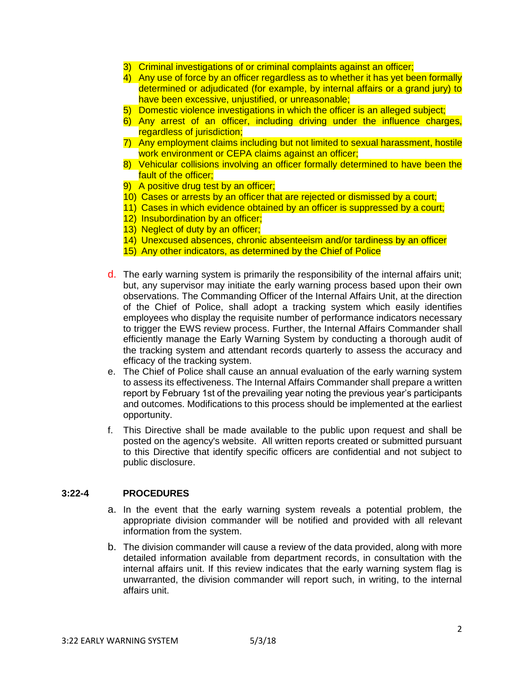- 3) Criminal investigations of or criminal complaints against an officer;
- 4) Any use of force by an officer regardless as to whether it has yet been formally determined or adjudicated (for example, by internal affairs or a grand jury) to have been excessive, unjustified, or unreasonable;
- 5) Domestic violence investigations in which the officer is an alleged subject;
- 6) Any arrest of an officer, including driving under the influence charges, regardless of jurisdiction;
- 7) Any employment claims including but not limited to sexual harassment, hostile work environment or CEPA claims against an officer;
- 8) Vehicular collisions involving an officer formally determined to have been the fault of the officer:
- 9) A positive drug test by an officer;
- 10) Cases or arrests by an officer that are rejected or dismissed by a court;
- 11) Cases in which evidence obtained by an officer is suppressed by a court;
- 12) Insubordination by an officer;
- 13) Neglect of duty by an officer;
- 14) Unexcused absences, chronic absenteeism and/or tardiness by an officer
- 15) Any other indicators, as determined by the Chief of Police
- d. The early warning system is primarily the responsibility of the internal affairs unit; but, any supervisor may initiate the early warning process based upon their own observations. The Commanding Officer of the Internal Affairs Unit, at the direction of the Chief of Police, shall adopt a tracking system which easily identifies employees who display the requisite number of performance indicators necessary to trigger the EWS review process. Further, the Internal Affairs Commander shall efficiently manage the Early Warning System by conducting a thorough audit of the tracking system and attendant records quarterly to assess the accuracy and efficacy of the tracking system.
- e. The Chief of Police shall cause an annual evaluation of the early warning system to assess its effectiveness. The Internal Affairs Commander shall prepare a written report by February 1st of the prevailing year noting the previous year's participants and outcomes. Modifications to this process should be implemented at the earliest opportunity.
- f. This Directive shall be made available to the public upon request and shall be posted on the agency's website. All written reports created or submitted pursuant to this Directive that identify specific officers are confidential and not subject to public disclosure.

## **3:22-4 PROCEDURES**

- a. In the event that the early warning system reveals a potential problem, the appropriate division commander will be notified and provided with all relevant information from the system.
- b. The division commander will cause a review of the data provided, along with more detailed information available from department records, in consultation with the internal affairs unit. If this review indicates that the early warning system flag is unwarranted, the division commander will report such, in writing, to the internal affairs unit.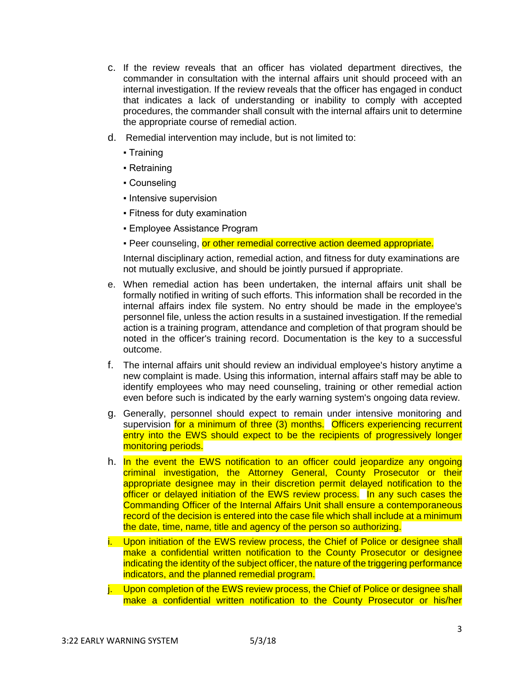- c. If the review reveals that an officer has violated department directives, the commander in consultation with the internal affairs unit should proceed with an internal investigation. If the review reveals that the officer has engaged in conduct that indicates a lack of understanding or inability to comply with accepted procedures, the commander shall consult with the internal affairs unit to determine the appropriate course of remedial action.
- d. Remedial intervention may include, but is not limited to:
	- Training
	- Retraining
	- Counseling
	- Intensive supervision
	- Fitness for duty examination
	- **Employee Assistance Program**
	- Peer counseling, or other remedial corrective action deemed appropriate.

Internal disciplinary action, remedial action, and fitness for duty examinations are not mutually exclusive, and should be jointly pursued if appropriate.

- e. When remedial action has been undertaken, the internal affairs unit shall be formally notified in writing of such efforts. This information shall be recorded in the internal affairs index file system. No entry should be made in the employee's personnel file, unless the action results in a sustained investigation. If the remedial action is a training program, attendance and completion of that program should be noted in the officer's training record. Documentation is the key to a successful outcome.
- f. The internal affairs unit should review an individual employee's history anytime a new complaint is made. Using this information, internal affairs staff may be able to identify employees who may need counseling, training or other remedial action even before such is indicated by the early warning system's ongoing data review.
- g. Generally, personnel should expect to remain under intensive monitoring and supervision for a minimum of three (3) months. Officers experiencing recurrent entry into the EWS should expect to be the recipients of progressively longer monitoring periods.
- h. In the event the EWS notification to an officer could jeopardize any ongoing criminal investigation, the Attorney General, County Prosecutor or their appropriate designee may in their discretion permit delayed notification to the officer or delayed initiation of the EWS review process. In any such cases the Commanding Officer of the Internal Affairs Unit shall ensure a contemporaneous record of the decision is entered into the case file which shall include at a minimum the date, time, name, title and agency of the person so authorizing.
- i. Upon initiation of the EWS review process, the Chief of Police or designee shall make a confidential written notification to the County Prosecutor or designee indicating the identity of the subject officer, the nature of the triggering performance indicators, and the planned remedial program.
- j. Upon completion of the EWS review process, the Chief of Police or designee shall make a confidential written notification to the County Prosecutor or his/her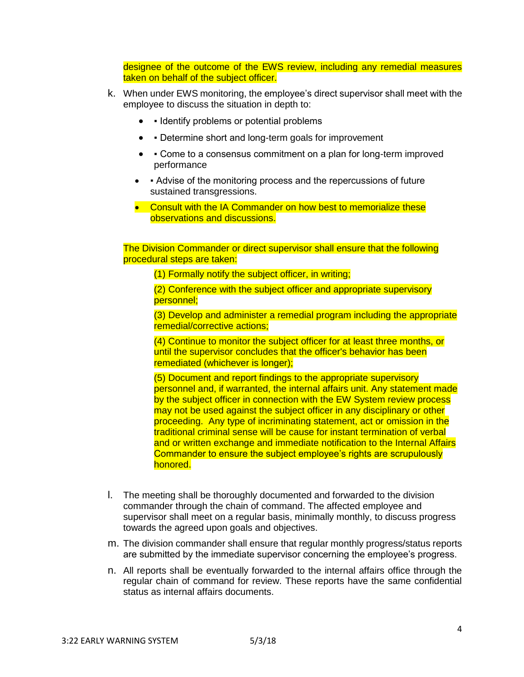designee of the outcome of the EWS review, including any remedial measures taken on behalf of the subject officer.

- k. When under EWS monitoring, the employee's direct supervisor shall meet with the employee to discuss the situation in depth to:
	- Identify problems or potential problems
	- • Determine short and long-term goals for improvement
	- Come to a consensus commitment on a plan for long-term improved performance
	- • Advise of the monitoring process and the repercussions of future sustained transgressions.
	- Consult with the IA Commander on how best to memorialize these observations and discussions.

The Division Commander or direct supervisor shall ensure that the following procedural steps are taken:

(1) Formally notify the subject officer, in writing;

(2) Conference with the subject officer and appropriate supervisory personnel;

(3) Develop and administer a remedial program including the appropriate remedial/corrective actions;

(4) Continue to monitor the subject officer for at least three months, or until the supervisor concludes that the officer's behavior has been remediated (whichever is longer);

(5) Document and report findings to the appropriate supervisory personnel and, if warranted, the internal affairs unit. Any statement made by the subject officer in connection with the EW System review process may not be used against the subject officer in any disciplinary or other proceeding. Any type of incriminating statement, act or omission in the traditional criminal sense will be cause for instant termination of verbal and or written exchange and immediate notification to the Internal Affairs Commander to ensure the subject employee's rights are scrupulously honored.

- l. The meeting shall be thoroughly documented and forwarded to the division commander through the chain of command. The affected employee and supervisor shall meet on a regular basis, minimally monthly, to discuss progress towards the agreed upon goals and objectives.
- m. The division commander shall ensure that regular monthly progress/status reports are submitted by the immediate supervisor concerning the employee's progress.
- n. All reports shall be eventually forwarded to the internal affairs office through the regular chain of command for review. These reports have the same confidential status as internal affairs documents.